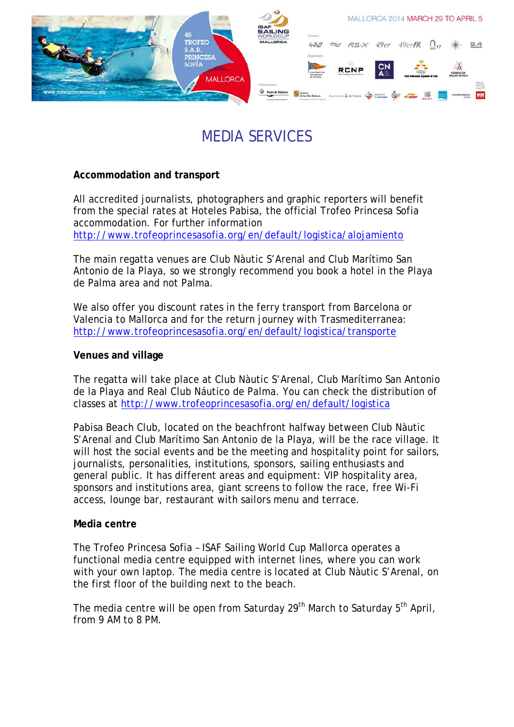

# MEDIA SERVICES

# **Accommodation and transport**

All accredited journalists, photographers and graphic reporters will benefit from the special rates at Hoteles Pabisa, the official Trofeo Princesa Sofia accommodation. For further information <http://www.trofeoprincesasofia.org/en/default/logistica/alojamiento>

The main regatta venues are Club Nàutic S'Arenal and Club Marítimo San Antonio de la Playa, so we strongly recommend you book a hotel in the Playa de Palma area and not Palma.

We also offer you discount rates in the ferry transport from Barcelona or Valencia to Mallorca and for the return journey with Trasmediterranea: <http://www.trofeoprincesasofia.org/en/default/logistica/transporte>

## **Venues and village**

The regatta will take place at Club Nàutic S'Arenal, Club Marítimo San Antonio de la Playa and Real Club Náutico de Palma. You can check the distribution of classes at<http://www.trofeoprincesasofia.org/en/default/logistica>

Pabisa Beach Club, located on the beachfront halfway between Club Nàutic S'Arenal and Club Marítimo San Antonio de la Playa, will be the race village. It will host the social events and be the meeting and hospitality point for sailors, journalists, personalities, institutions, sponsors, sailing enthusiasts and general public. It has different areas and equipment: VIP hospitality area, sponsors and institutions area, giant screens to follow the race, free Wi-Fi access, lounge bar, restaurant with sailors menu and terrace.

## **Media centre**

The Trofeo Princesa Sofia – ISAF Sailing World Cup Mallorca operates a functional media centre equipped with internet lines, where you can work with your own laptop. The media centre is located at Club Nàutic S'Arenal, on the first floor of the building next to the beach.

The media centre will be open from Saturday 29<sup>th</sup> March to Saturday 5<sup>th</sup> April, from 9 AM to 8 PM.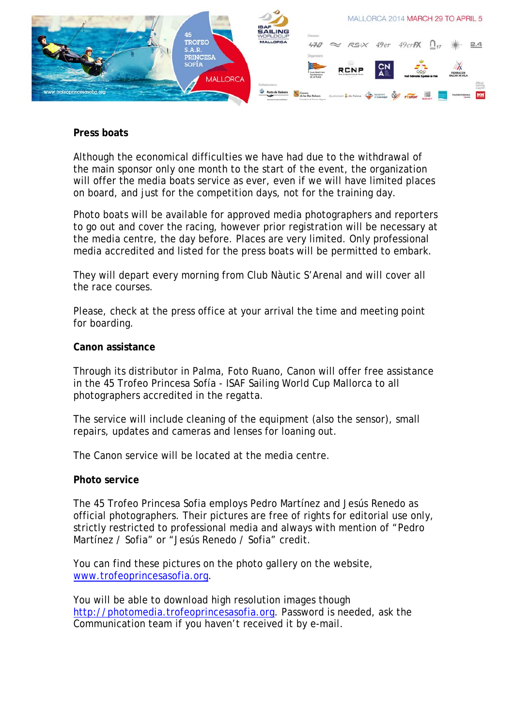

### **Press boats**

Although the economical difficulties we have had due to the withdrawal of the main sponsor only one month to the start of the event, the organization will offer the media boats service as ever, even if we will have limited places on board, and just for the competition days, not for the training day.

Photo boats will be available for approved media photographers and reporters to go out and cover the racing, however prior registration will be necessary at the media centre, the day before. Places are very limited. Only professional media accredited and listed for the press boats will be permitted to embark.

They will depart every morning from Club Nàutic S'Arenal and will cover all the race courses.

Please, check at the press office at your arrival the time and meeting point for boarding.

#### **Canon assistance**

Through its distributor in Palma, Foto Ruano, Canon will offer free assistance in the 45 Trofeo Princesa Sofía - ISAF Sailing World Cup Mallorca to all photographers accredited in the regatta.

The service will include cleaning of the equipment (also the sensor), small repairs, updates and cameras and lenses for loaning out.

The Canon service will be located at the media centre.

#### **Photo service**

The 45 Trofeo Princesa Sofia employs Pedro Martínez and Jesús Renedo as official photographers. Their pictures are free of rights for editorial use only, strictly restricted to professional media and always with mention of "Pedro Martínez / Sofia" or "Jesús Renedo / Sofia" credit.

You can find these pictures on the photo gallery on the website, [www.trofeoprincesasofia.org](http://www.trofeoprincesasofia.org/).

You will be able to download high resolution images though [http://photomedia.trofeoprincesasofia.org](http://photomedia.trofeoprincesasofia.org/). Password is needed, ask the Communication team if you haven't received it by e-mail.